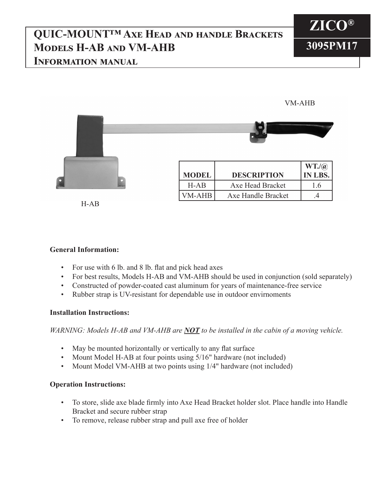## **QUIC-MOUNT™ Axe Head and handle Brackets Models H-AB and VM-AHB Information manual**



VM-AHB

**MODEL DESCRIPTION WT./@ IN LBS.** H-AB Axe Head Bracket 1.6 VM-AHB Axe Handle Bracket 1.4

H-AB

## **General Information:**

- For use with 6 lb. and 8 lb. flat and pick head axes
- For best results, Models H-AB and VM-AHB should be used in conjunction (sold separately)
- Constructed of powder-coated cast aluminum for years of maintenance-free service
- Rubber strap is UV-resistant for dependable use in outdoor envirnoments

## **Installation Instructions:**

*WARNING: Models H-AB and VM-AHB are NOT to be installed in the cabin of a moving vehicle.*

- May be mounted horizontally or vertically to any flat surface
- Mount Model H-AB at four points using 5/16" hardware (not included)
- Mount Model VM-AHB at two points using 1/4" hardware (not included)

## **Operation Instructions:**

- To store, slide axe blade firmly into Axe Head Bracket holder slot. Place handle into Handle Bracket and secure rubber strap
- To remove, release rubber strap and pull axe free of holder